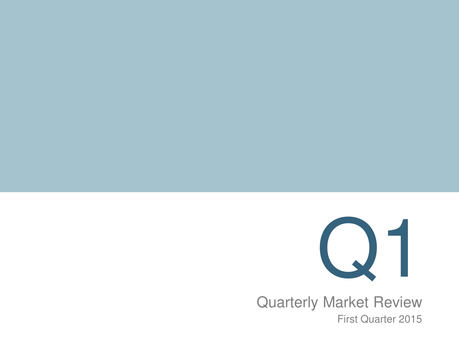

 First Quarter 2015Quarterly Market Review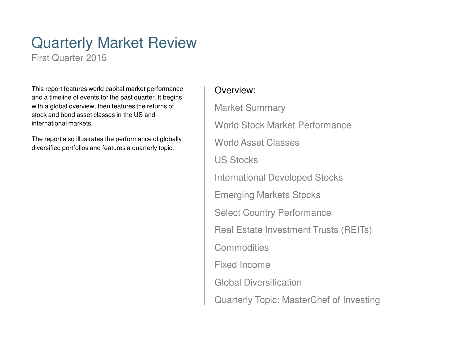## Quarterly Market Review

First Quarter 2015

This report features world capital market performance and a timeline of events for the past quarter. It begins with a global overview, then features the returns of stock and bond asset classes in the US and international markets.

The report also illustrates the performance of globally diversified portfolios and features a quarterly topic.

### Overview:

Market SummaryWorld Stock Market PerformanceWorld Asset ClassesUS StocksInternational Developed StocksEmerging Markets StocksSelect Country PerformanceReal Estate Investment Trusts (REITs)**Commodities** Fixed Income Global DiversificationQuarterly Topic: MasterChef of Investing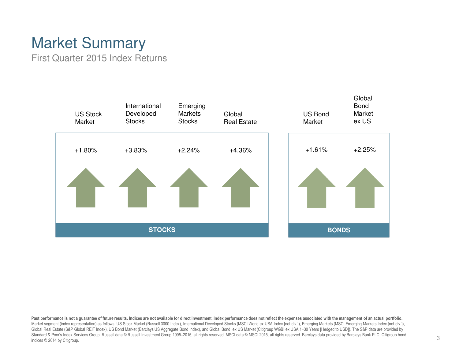## Market Summary

First Quarter 2015 Index Returns



Past performance is not a guarantee of future results. Indices are not available for direct investment. Index performance does not reflect the expenses associated with the management of an actual portfolio. Market segment (index representation) as follows: US Stock Market (Russell 3000 Index), International Developed Stocks (MSCI World ex USA Index [net div.]), Emerging Markets (MSCI Emerging Markets Index [net div.]), Global Real Estate (S&P Global REIT Index), US Bond Market (Barclays US Aggregate Bond Index), and Global Bond ex US Market (Citigroup WGBI ex USA 1-30 Years [Hedged to USD]). The S&P data are provided by Standard & Poor's Index Services Group. Russell data © Russell Investment Group 1995–2015, all rights reserved. MSCI 2016 all rights reserved. Barclays data provided by Barclays Bank PLC. Citigroup bond indices © 2014 by Citigroup.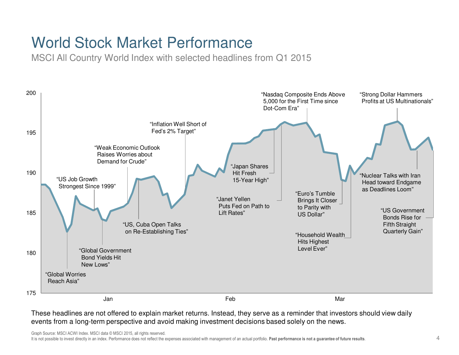## World Stock Market Performance

MSCI All Country World Index with selected headlines from Q1 2015



Graph Source: MSCI ACWI Index. MSCI data © MSCI 2015, all rights reserved.

It is not possible to invest directly in an index. Performance does not reflect the expenses associated with management of an actual portfolio. Past performance is not a guarantee of future results.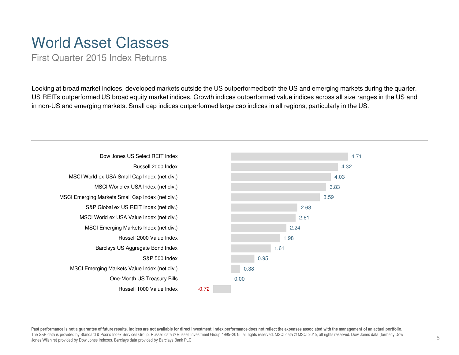### World Asset Classes

First Quarter 2015 Index Returns

Looking at broad market indices, developed markets outside the US outperformed both the US and emerging markets during the quarter. US REITs outperformed US broad equity market indices. Growth indices outperformed value indices across all size ranges in the US and in non-US and emerging markets. Small cap indices outperformed large cap indices in all regions, particularly in the US.



Past performance is not a guarantee of future results. Indices are not available for direct investment. Index performance does not reflect the expenses associated with the management of an actual portfolio. The S&P data is provided by Standard & Poor's Index Services Group. Russell data © Russell Investment Group 1995–2015, all rights reserved. MSCI data © MSCI 2015, all rights reserved. Dow Jones data (formerly Dow Jones Wilshire) provided by Dow Jones Indexes. Barclays data provided by Barclays Bank PLC.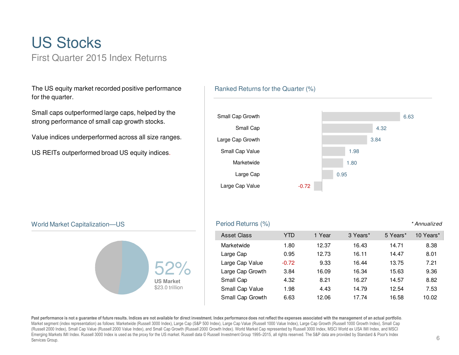### US StocksFirst Quarter 2015 Index Returns

The US equity market recorded positive performance for the quarter.

Small caps outperformed large caps, helped by the strong performance of small cap growth stocks.

Value indices underperformed across all size ranges.

US REITs outperformed broad US equity indices.

#### Ranked Returns for the Quarter (%)



#### World Market Capitalization—US



| S                                   |           | Period Returns (%) |            |        |          |          | * Annualized |
|-------------------------------------|-----------|--------------------|------------|--------|----------|----------|--------------|
|                                     |           | <b>Asset Class</b> | <b>YTD</b> | 1 Year | 3 Years* | 5 Years* | 10 Years*    |
|                                     |           | Marketwide         | 1.80       | 12.37  | 16.43    | 14.71    | 8.38         |
| <b>US Market</b><br>\$23.0 trillion | Large Cap | 0.95               | 12.73      | 16.11  | 14.47    | 8.01     |              |
|                                     |           | Large Cap Value    | $-0.72$    | 9.33   | 16.44    | 13.75    | 7.21         |
|                                     |           | Large Cap Growth   | 3.84       | 16.09  | 16.34    | 15.63    | 9.36         |
|                                     |           | Small Cap          | 4.32       | 8.21   | 16.27    | 14.57    | 8.82         |
|                                     |           | Small Cap Value    | 1.98       | 4.43   | 14.79    | 12.54    | 7.53         |
|                                     |           | Small Cap Growth   | 6.63       | 12.06  | 17.74    | 16.58    | 10.02        |

Past performance is not a guarantee of future results. Indices are not available for direct investment. Index performance does not reflect the expenses associated with the management of an actual portfolio.<br>Market segment (Russell 2000 Index), Small Cap Value (Russell 2000 Value Index), and Small Cap Growth (Russell 2000 Growth Index). World Market Cap represented by Russell 3000 Index, MSCI World ex USA IMI Index, and MSCI Emerging Markets IMI Index. Russell 3000 Index is used as the proxy for the US market. Russell data © Russell Investment Group 1995–2015, all rights reserved. The S&P data are provided by Standard & Poor's Index Services Group.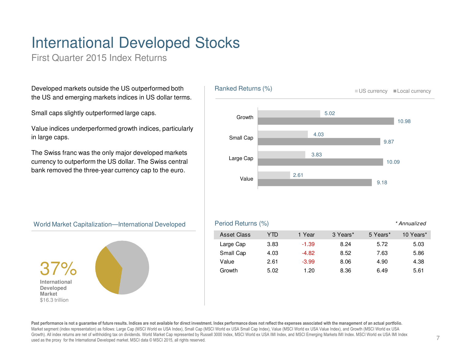# International Developed Stocks

First Quarter 2015 Index Returns

Developed markets outside the US outperformed both the US and emerging markets indices in US dollar terms.

Small caps slightly outperformed large caps.

Value indices underperformed growth indices, particularly in large caps.

The Swiss franc was the only major developed markets currency to outperform the US dollar. The Swiss central bank removed the three-year currency cap to the euro.



#### World Market Capitalization—International Developed



| <b>Asset Class</b> | YTD  | 1 Year  | 3 Years* | 5 Years* | 10 Years* |
|--------------------|------|---------|----------|----------|-----------|
| Large Cap          | 3.83 | $-1.39$ | 8.24     | 5.72     | 5.03      |
| Small Cap          | 4.03 | $-4.82$ | 8.52     | 7.63     | 5.86      |
| Value              | 2.61 | $-3.99$ | 8.06     | 4.90     | 4.38      |
| Growth             | 5.02 | 1.20    | 8.36     | 6.49     | 5.61      |

**Past performance is not a guarantee of future results. Indices are not available for direct investment. Index performance does not reflect the expenses associated with the management of an actual portfolio.**Market segment (index representation) as follows: Large Cap (MSCI World ex USA Index), Small Cap (MSCI World ex USA Small Cap Index), Value (MSCI World ex USA Value Index), and Growth (MSCI World ex USA Growth). All index returns are net of withholding tax on dividends. World Market Cap represented by Russell 3000 Index, MSCI World ex USA IMI Index, and MSCI Emerging Markets IMI Index. MSCI World ex USA IMI Index. used as the proxy for the International Developed market. MSCI data © MSCI 2015, all rights reserved.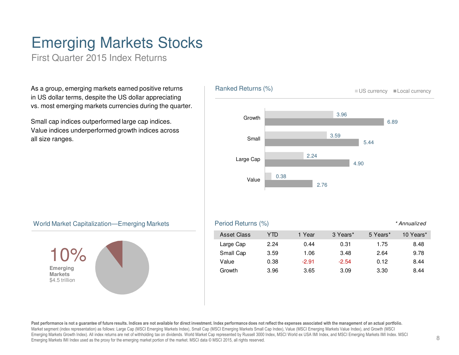## Emerging Markets Stocks

First Quarter 2015 Index Returns

As a group, emerging markets earned positive returns in US dollar terms, despite the US dollar appreciatingvs. most emerging markets currencies during the quarter.

Small cap indices outperformed large cap indices. Value indices underperformed growth indices across all size ranges.



#### World Market Capitalization—Emerging Markets



| S | Period Returns (%)<br>* Annualized |      |         |          |          |           |  |  |  |
|---|------------------------------------|------|---------|----------|----------|-----------|--|--|--|
|   | <b>Asset Class</b>                 | YTD  | 1 Year  | 3 Years* | 5 Years* | 10 Years* |  |  |  |
|   | Large Cap                          | 2.24 | 0.44    | 0.31     | 1.75     | 8.48      |  |  |  |
|   | Small Cap                          | 3.59 | 1.06    | 3.48     | 2.64     | 9.78      |  |  |  |
|   | Value                              | 0.38 | $-2.91$ | $-2.54$  | 0.12     | 8.44      |  |  |  |
|   | Growth                             | 3.96 | 3.65    | 3.09     | 3.30     | 8.44      |  |  |  |
|   |                                    |      |         |          |          |           |  |  |  |

**Past performance is not a guarantee of future results. Indices are not available for direct investment. Index performance does not reflect the expenses associated with the management of an actual portfolio.**Market segment (index representation) as follows: Large Cap (MSCI Emerging Markets Index), Small Cap (MSCI Emerging Markets Small Cap Index), Value (MSCI Emerging Markets Value Index), and Growth (MSCI Emerging Markets Growth Index). All index returns are net of withholding tax on dividends. World Market Cap represented by Russell 3000 Index, MSCI World ex USA IMI Index, and MSCI Emerging Markets IMI Index. MSCI Emerging Markets IMI Index used as the proxy for the emerging market portion of the market. MSCI data © MSCI 2015, all rights reserved.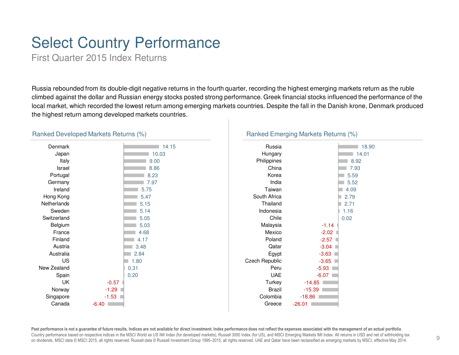## Select Country Performance

First Quarter 2015 Index Returns

Russia rebounded from its double-digit negative returns in the fourth quarter, recording the highest emerging markets return as the ruble climbed against the dollar and Russian energy stocks posted strong performance. Greek financial stocks influenced the performance of the local market, which recorded the lowest return among emerging markets countries. Despite the fall in the Danish krone, Denmark produced the highest return among developed markets countries.

| Denmark     | 14.15   | Russia                |          |
|-------------|---------|-----------------------|----------|
| Japan       | 10.03   | Hungary               |          |
| Italy       | 9.00    | Philippines           |          |
| Israel      | 8.86    | China                 |          |
| Portugal    | 8.23    | Korea                 |          |
| Germany     | 7.97    | India                 |          |
| Ireland     | 5.75    | Taiwan                |          |
| Hong Kong   | 5.47    | South Africa          |          |
| Netherlands | 5.15    | Thailand              |          |
| Sweden      | 5.14    | Indonesia             |          |
| Switzerland | 5.05    | Chile                 |          |
| Belgium     | 5.03    | Malaysia              | $-1.14$  |
| France      | 4.68    | Mexico                | $-2.02$  |
| Finland     | 4.17    | Poland                | $-2.57$  |
| Austria     | 3.48    | Qatar                 | $-3.04$  |
| Australia   | 2.84    | Egypt                 | $-3.63$  |
| <b>US</b>   | 1.80    | <b>Czech Republic</b> | $-3.65$  |
| New Zealand | 0.31    | Peru                  | $-5.93$  |
| Spain       | 0.20    | <b>UAE</b>            | $-6.07$  |
| UK          | $-0.57$ | Turkey                | $-14.85$ |
| Norway      | $-1.29$ | <b>Brazil</b>         | $-15.39$ |
| Singapore   | $-1.53$ | Colombia              | $-18.86$ |
|             |         |                       |          |
| Canada      | $-6.40$ | Greece                | $-26.01$ |
|             |         |                       |          |

#### Ranked Developed Markets Returns (%)

Past performance is not a guarantee of future results. Indices are not available for direct investment. Index performance does not reflect the expenses associated with the management of an actual portfolio.<br>Country perform on dividends. MSCI data © MSCI 2015, all rights reserved. Russell data © Russell Investment Group 1995–2015, all rights reserved. UAE and Qatar have been reclassified as emerging markets by MSCI, effective May 2014.

### Ranked Emerging Markets Returns (%)

■ 18.90 14.018.92 7.93 5.59 5.52 4.09 2.79 2.71 1.160.02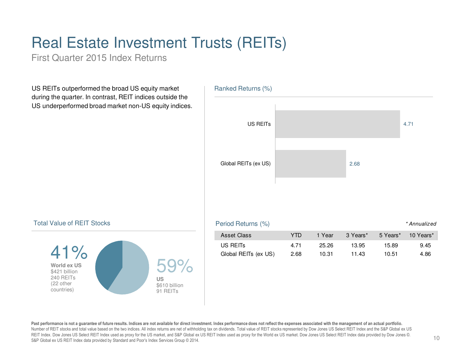# Real Estate Investment Trusts (REITs)

First Quarter 2015 Index Returns

US REITs outperformed the broad US equity market during the quarter. In contrast, REIT indices outside the US underperformed broad market non-US equity indices.



#### Total Value of REIT Stocks



Past performance is not a guarantee of future results. Indices are not available for direct investment. Index performance does not reflect the expenses associated with the management of an actual portfolio. Number of REIT stocks and total value based on the two indices. All index returns are net of withholding tax on dividends. Total value of REIT stocks represented by Dow Jones US Select REIT Index and the S&P Global ex US REIT Index. Dow Jones US Select REIT Index used as proxy for the US market, and S&P Global ex US REIT Index used as proxy for the World ex US market. Dow Jones US Select REIT Index data provided by Dow Jones ©. S&P Global ex US REIT Index data provided by Standard and Poor's Index Services Group © 2014.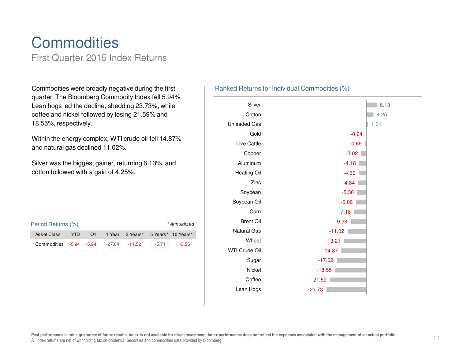### **Commodities** First Quarter 2015 Index Returns

Commodities were broadly negative during the first quarter. The Bloomberg Commodity Index fell 5.94%. Lean hogs led the decline, shedding 23.73%, while coffee and nickel followed by losing 21.59% and 18.55%, respectively.

Within the energy complex, WTI crude oil fell 14.87% and natural gas declined 11.02%.

Silver was the biggest gainer, returning 6.13%, and cotton followed with a gain of 4.25%.

| Period Returns (%)<br>* Annualized    |            |     |  |                                    |         |         |  |
|---------------------------------------|------------|-----|--|------------------------------------|---------|---------|--|
| Asset Class                           | <b>YTD</b> | .O1 |  | 1 Year 3 Years* 5 Years* 10 Years* |         |         |  |
| Commodities -5.94 -5.94 -27.04 -11.52 |            |     |  |                                    | $-5.71$ | $-3.56$ |  |

#### Ranked Returns for Individual Commodities (%)

![](_page_10_Figure_6.jpeg)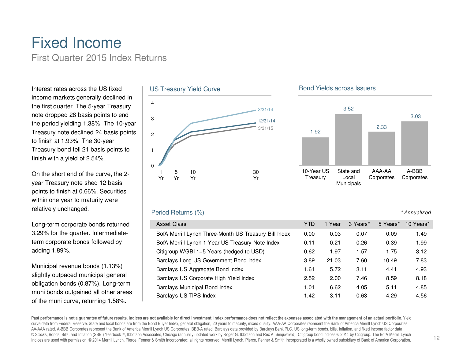### Fixed IncomeFirst Quarter 2015 Index Returns

Interest rates across the US fixed income markets generally declined in the first quarter. The 5-year Treasury note dropped 28 basis points to end the period yielding 1.38%. The 10-year Treasury note declined 24 basis points to finish at 1.93%. The 30-year Treasury bond fell 21 basis points to finish with a yield of 2.54%.

On the short end of the curve, the 2year Treasury note shed 12 basis points to finish at 0.66%. Securities within one year to maturity were relatively unchanged.

Long-term corporate bonds returned 3.29% for the quarter. Intermediateterm corporate bonds followed by adding 1.89%.

Municipal revenue bonds (1.13%) slightly outpaced municipal general obligation bonds (0.87%). Long-term muni bonds outgained all other areas of the muni curve, returning 1.58%.

### US Treasury Yield Curve

![](_page_11_Figure_6.jpeg)

#### Period Returns (%)

| Asset Class                                           | YTD  | Year  | 3 Years* | 5 Years* | 10 Years* |
|-------------------------------------------------------|------|-------|----------|----------|-----------|
| BofA Merrill Lynch Three-Month US Treasury Bill Index | 0.00 | 0.03  | 0.07     | 0.09     | 1.49      |
| BofA Merrill Lynch 1-Year US Treasury Note Index      | 0.11 | 0.21  | 0.26     | 0.39     | 1.99      |
| Citigroup WGBI 1-5 Years (hedged to USD)              | 0.62 | 1.97  | 1.57     | 1.75     | 3.12      |
| Barclays Long US Government Bond Index                | 3.89 | 21.03 | 7.60     | 10.49    | 7.83      |
| Barclays US Aggregate Bond Index                      | 1.61 | 5.72  | 3.11     | 4.41     | 4.93      |
| Barclays US Corporate High Yield Index                | 2.52 | 2.00  | 7.46     | 8.59     | 8.18      |
| Barclays Municipal Bond Index                         | 1.01 | 6.62  | 4.05     | 5.11     | 4.85      |
| Barclays US TIPS Index                                | 1.42 | 3.11  | 0.63     | 4.29     | 4.56      |

#### **Past performance is not a guarantee of future results. Indices are not available for direct investment. Index performance does not reflect the expenses associated with the management of an actual portfolio.** Yield curve data from Federal Reserve. State and local bonds are from the Bond Buyer Index, general obligation, 20 years to maturity, mixed quality. AAA-AA Corporates represent the Bank of America Merrill Lynch US Corporates, AA-AAA rated. A-BBB Corporates represent the Bank of America Merrill Lynch US Corporates, BBB-A rated. Barclays data provided by Barclays Bank PLC. US long-term bonds, bills, inflation, and fixed income factor data © Stocks, Bonds, Bills, and Inflation (SBBI) Yearbook™, Ibbotson Associates, Chicago (annually updated work by Roger G. Ibbotson and Rex A. Sinquefield). Citigroup bond indices © 2014 by Citigroup. The BofA Merrill Lynch Indices are used with permission; © 2014 Merrill Lynch, Pierce, Fenner & Smith Incorporated; all rights reserved. Merrill Lynch, Pierce, Fenner & Smith Incorporated is a wholly owned subsidiary of Bank of America Corporati

#### Bond Yields across Issuers

![](_page_11_Figure_11.jpeg)

#### \* Annualized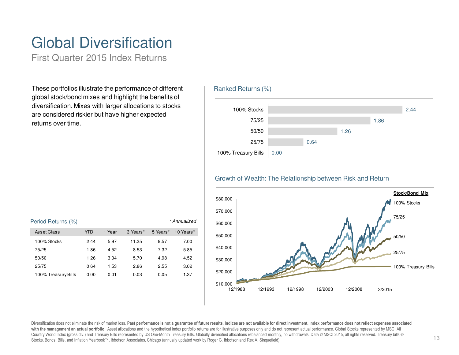# Global Diversification

First Quarter 2015 Index Returns

These portfolios illustrate the performance of different global stock/bond mixes and highlight the benefits of diversification. Mixes with larger allocations to stocks are considered riskier but have higher expected returns over time.

#### Ranked Returns (%)

![](_page_12_Figure_4.jpeg)

#### Growth of Wealth: The Relationship between Risk and Return

![](_page_12_Figure_6.jpeg)

#### Asset Class YTD 1 Year 3 Years\* 5 Years\* 10 Years\* 100% Stocks 2.44 5.97 11.35 9.57 7.0075/25 1.86 4.52 8.53 7.32 5.8550/50 1.26 3.04 5.70 4.98 4.5225/75 0.64 1.53 2.86 2.55 3.02100% Treasury Bills 0.00 0.01 0.03 0.05 1.37Period Returns (%) example a state of the state of the state of the state of the state of the state of the state of the state of the state of the state of the state of the state of the state of the state of the state of th

Diversification does not eliminate the risk of market loss. Past performance is not a guarantee of future results. Indices are not available for direct investment. Index performance does not reflect expenses associated with the management an actual portfolio. Asset allocations and the hypothetical index portfolio returns are for illustrative purposes only and do not represent actual performance. Global Stocks represented by MSCI All Country World Index (gross div.) and Treasury Bills represented by US One-Month Treasury Bills. Globally diversified allocations rebalanced monthly, no withdrawals. Data © MSCI 2015, all rights reserved. Treasury bills © Stocks, Bonds, Bills, and Inflation Yearbook™, Ibbotson Associates, Chicago (annually updated work by Roger G. Ibbotson and Rex A. Sinquefield).